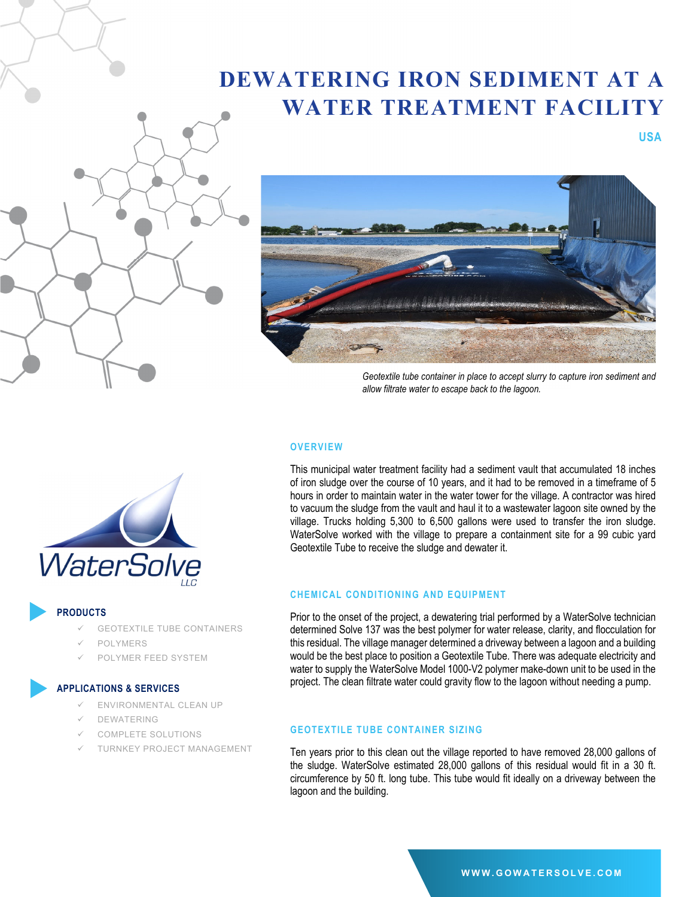# **DEWATERING IRON SEDIMENT AT A WATER TREATMENT FACILITY**





*Geotextile tube container in place to accept slurry to capture iron sediment and allow filtrate water to escape back to the lagoon.* 

 **USA**

## **OVERVIEW**

This municipal water treatment facility had a sediment vault that accumulated 18 inches of iron sludge over the course of 10 years, and it had to be removed in a timeframe of 5 hours in order to maintain water in the water tower for the village. A contractor was hired to vacuum the sludge from the vault and haul it to a wastewater lagoon site owned by the village. Trucks holding 5,300 to 6,500 gallons were used to transfer the iron sludge. WaterSolve worked with the village to prepare a containment site for a 99 cubic yard Geotextile Tube to receive the sludge and dewater it.

# **CHEMICAL CONDITIONING AND EQUIPMENT**

Prior to the onset of the project, a dewatering trial performed by a WaterSolve technician determined Solve 137 was the best polymer for water release, clarity, and flocculation for this residual. The village manager determined a driveway between a lagoon and a building would be the best place to position a Geotextile Tube. There was adequate electricity and water to supply the WaterSolve Model 1000-V2 polymer make-down unit to be used in the project. The clean filtrate water could gravity flow to the lagoon without needing a pump.

# **GEOTEXTILE TUBE CONTAINER SIZING**

Ten years prior to this clean out the village reported to have removed 28,000 gallons of the sludge. WaterSolve estimated 28,000 gallons of this residual would fit in a 30 ft. circumference by 50 ft. long tube. This tube would fit ideally on a driveway between the lagoon and the building.



### **PRODUCTS**

- GEOTEXTILE TUBE CONTAINERS
- POLYMERS
- POLYMER FEED SYSTEM

#### **APPLICATIONS & SERVICES**

- ENVIRONMENTAL CLEAN UP
- DEWATERING
- COMPLETE SOLUTIONS
- TURNKEY PROJECT MANAGEMENT